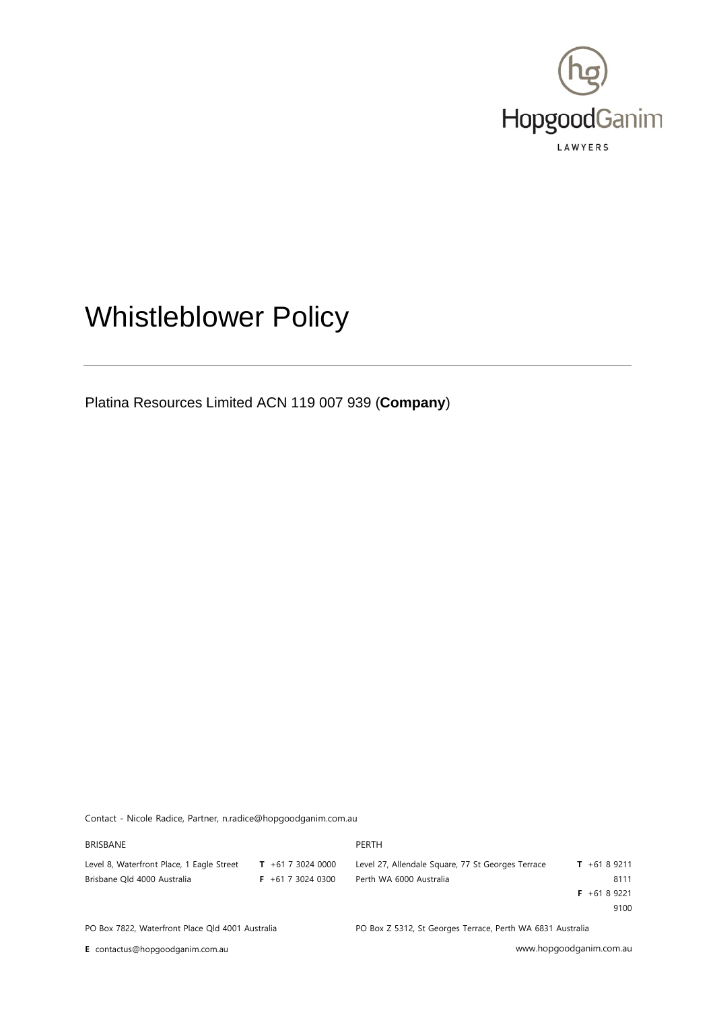

# Whistleblower Policy

Platina Resources Limited ACN 119 007 939 (**Company**)

Contact - Nicole Radice, Partner, n.radice@hopgoodganim.com.au

| <b>BRISBANE</b>                                  |                      | PERTH                                                      |               |
|--------------------------------------------------|----------------------|------------------------------------------------------------|---------------|
| Level 8, Waterfront Place, 1 Eagle Street        | $T + 61730240000$    | Level 27, Allendale Square, 77 St Georges Terrace          | $T + 6189211$ |
| Brisbane Old 4000 Australia                      | $F + 61$ 7 3024 0300 | Perth WA 6000 Australia                                    | 8111          |
|                                                  |                      |                                                            | $F + 6189221$ |
|                                                  |                      |                                                            | 9100          |
| PO Box 7822, Waterfront Place Qld 4001 Australia |                      | PO Box Z 5312, St Georges Terrace, Perth WA 6831 Australia |               |

**E** contactus@hopgoodganim.com.au www.hopgoodganim.com.au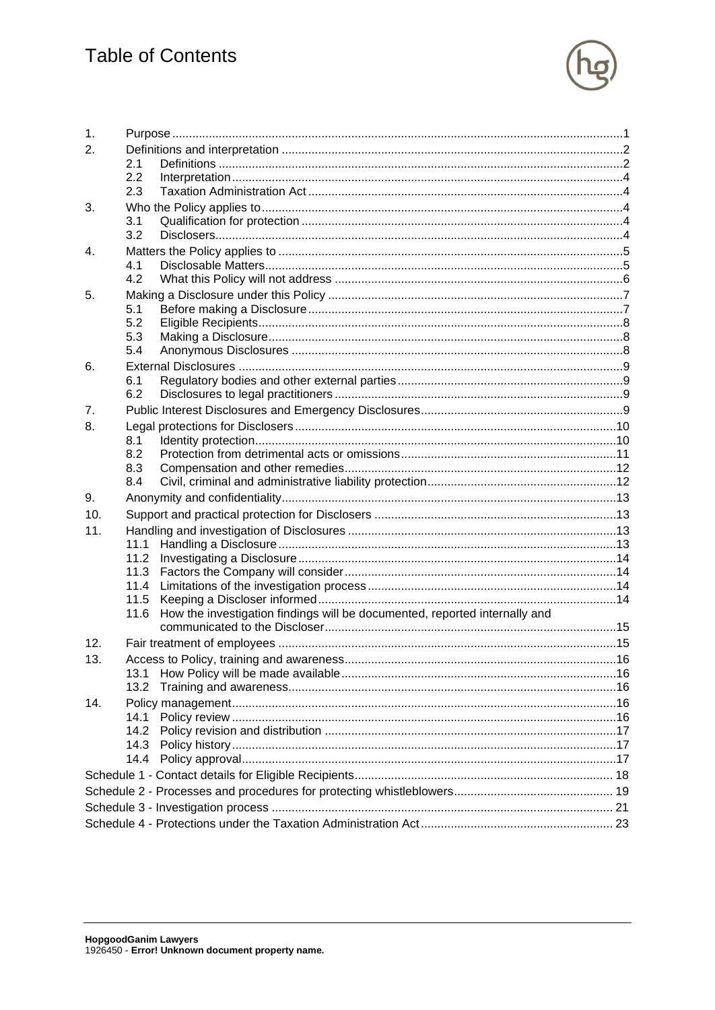

| 1.             |      |                                                                            |  |
|----------------|------|----------------------------------------------------------------------------|--|
| 2.             |      |                                                                            |  |
|                | 2.1  |                                                                            |  |
|                | 2.2  |                                                                            |  |
|                | 2.3  |                                                                            |  |
| 3.             |      |                                                                            |  |
|                | 3.1  |                                                                            |  |
|                | 3.2  |                                                                            |  |
| 4.             |      |                                                                            |  |
|                | 4.1  |                                                                            |  |
|                | 4.2  |                                                                            |  |
| 5.             |      |                                                                            |  |
|                | 5.1  |                                                                            |  |
|                | 5.2  |                                                                            |  |
|                | 5.3  |                                                                            |  |
|                | 5.4  |                                                                            |  |
| 6.             |      |                                                                            |  |
|                | 6.1  |                                                                            |  |
|                | 6.2  |                                                                            |  |
| 7 <sub>1</sub> |      |                                                                            |  |
| 8.             |      |                                                                            |  |
|                | 8.1  |                                                                            |  |
|                | 8.2  |                                                                            |  |
|                | 8.3  |                                                                            |  |
|                | 8.4  |                                                                            |  |
| 9.             |      |                                                                            |  |
| 10.            |      |                                                                            |  |
| 11.            |      |                                                                            |  |
|                | 11.1 |                                                                            |  |
|                | 11.2 |                                                                            |  |
|                | 11.3 |                                                                            |  |
|                | 11.4 |                                                                            |  |
|                | 11.5 |                                                                            |  |
|                | 11.6 | How the investigation findings will be documented, reported internally and |  |
|                |      |                                                                            |  |
| 12.            |      |                                                                            |  |
| 13.            |      |                                                                            |  |
|                | 13.1 |                                                                            |  |
|                | 13.2 |                                                                            |  |
| 14.            |      |                                                                            |  |
|                | 14.1 |                                                                            |  |
|                | 14.2 |                                                                            |  |
|                | 14.3 |                                                                            |  |
|                | 14.4 |                                                                            |  |
|                |      |                                                                            |  |
|                |      |                                                                            |  |
|                |      |                                                                            |  |
|                |      |                                                                            |  |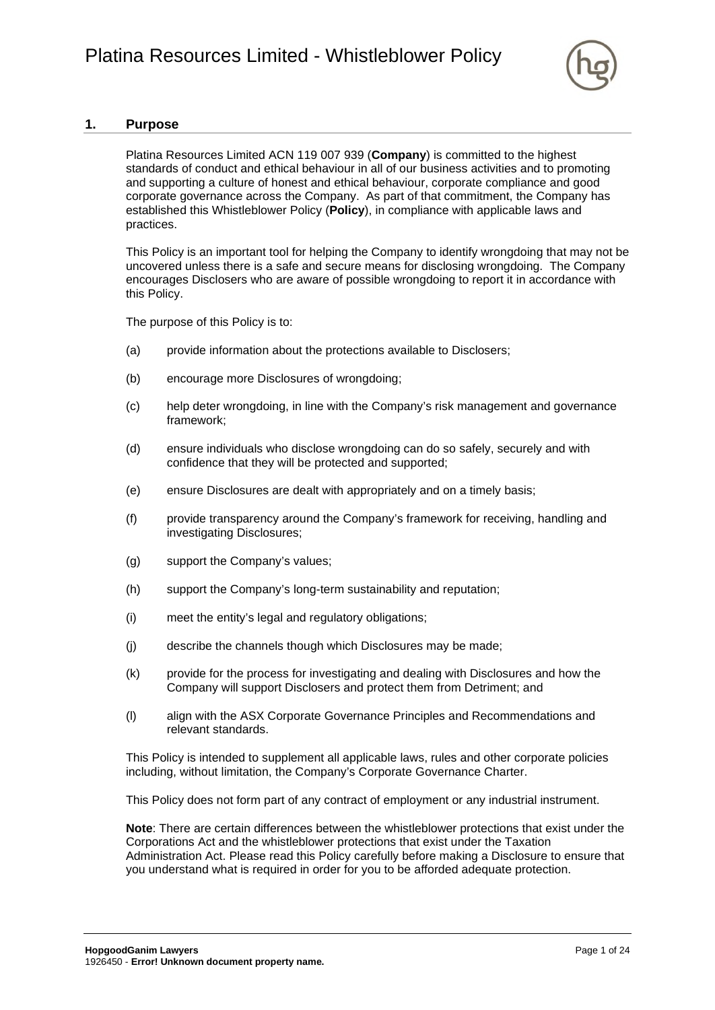

### <span id="page-2-0"></span>**1. Purpose**

Platina Resources Limited ACN 119 007 939 (**Company**) is committed to the highest standards of conduct and ethical behaviour in all of our business activities and to promoting and supporting a culture of honest and ethical behaviour, corporate compliance and good corporate governance across the Company. As part of that commitment, the Company has established this Whistleblower Policy (**Policy**), in compliance with applicable laws and practices.

This Policy is an important tool for helping the Company to identify wrongdoing that may not be uncovered unless there is a safe and secure means for disclosing wrongdoing. The Company encourages Disclosers who are aware of possible wrongdoing to report it in accordance with this Policy.

The purpose of this Policy is to:

- (a) provide information about the protections available to Disclosers;
- (b) encourage more Disclosures of wrongdoing;
- (c) help deter wrongdoing, in line with the Company's risk management and governance framework;
- (d) ensure individuals who disclose wrongdoing can do so safely, securely and with confidence that they will be protected and supported;
- (e) ensure Disclosures are dealt with appropriately and on a timely basis;
- (f) provide transparency around the Company's framework for receiving, handling and investigating Disclosures;
- (g) support the Company's values;
- (h) support the Company's long-term sustainability and reputation;
- (i) meet the entity's legal and regulatory obligations;
- (j) describe the channels though which Disclosures may be made;
- (k) provide for the process for investigating and dealing with Disclosures and how the Company will support Disclosers and protect them from Detriment; and
- (l) align with the ASX Corporate Governance Principles and Recommendations and relevant standards.

This Policy is intended to supplement all applicable laws, rules and other corporate policies including, without limitation, the Company's Corporate Governance Charter.

This Policy does not form part of any contract of employment or any industrial instrument.

**Note**: There are certain differences between the whistleblower protections that exist under the Corporations Act and the whistleblower protections that exist under the Taxation Administration Act. Please read this Policy carefully before making a Disclosure to ensure that you understand what is required in order for you to be afforded adequate protection.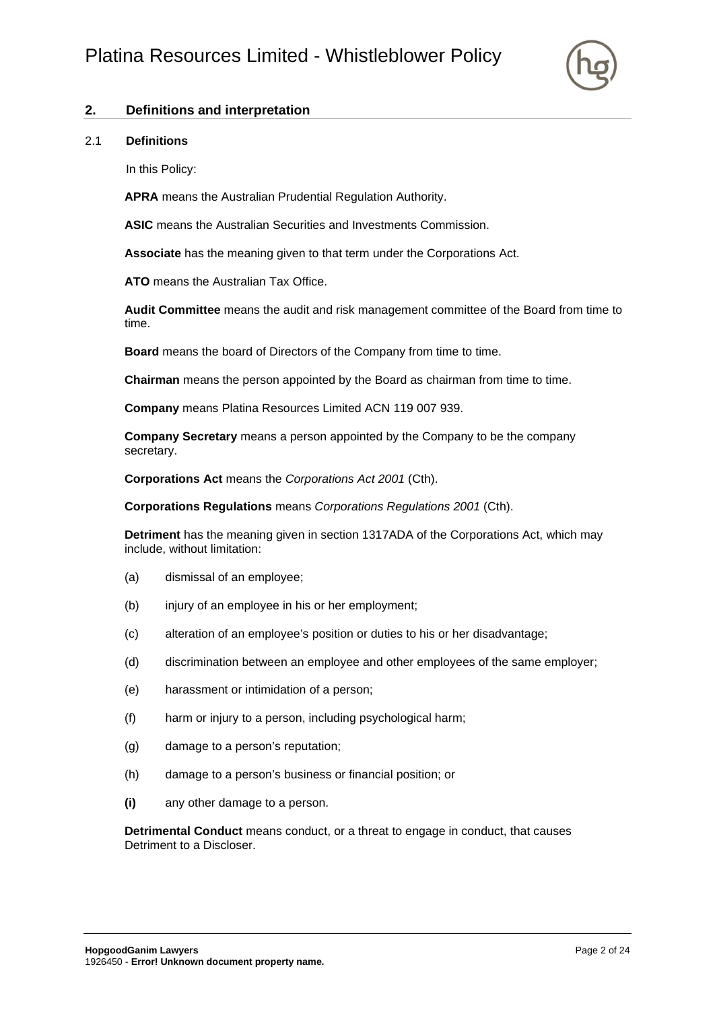

# <span id="page-3-0"></span>**2. Definitions and interpretation**

#### <span id="page-3-1"></span>2.1 **Definitions**

In this Policy:

**APRA** means the Australian Prudential Regulation Authority.

**ASIC** means the Australian Securities and Investments Commission.

**Associate** has the meaning given to that term under the Corporations Act.

**ATO** means the Australian Tax Office.

**Audit Committee** means the audit and risk management committee of the Board from time to time.

**Board** means the board of Directors of the Company from time to time.

**Chairman** means the person appointed by the Board as chairman from time to time.

**Company** means Platina Resources Limited ACN 119 007 939.

**Company Secretary** means a person appointed by the Company to be the company secretary.

**Corporations Act** means the *Corporations Act 2001* (Cth).

**Corporations Regulations** means *Corporations Regulations 2001* (Cth).

**Detriment** has the meaning given in section 1317ADA of the Corporations Act, which may include, without limitation:

- (a) dismissal of an employee;
- (b) injury of an employee in his or her employment;
- (c) alteration of an employee's position or duties to his or her disadvantage;
- (d) discrimination between an employee and other employees of the same employer;
- (e) harassment or intimidation of a person;
- (f) harm or injury to a person, including psychological harm;
- (g) damage to a person's reputation;
- (h) damage to a person's business or financial position; or
- **(i)** any other damage to a person.

**Detrimental Conduct** means conduct, or a threat to engage in conduct, that causes Detriment to a Discloser.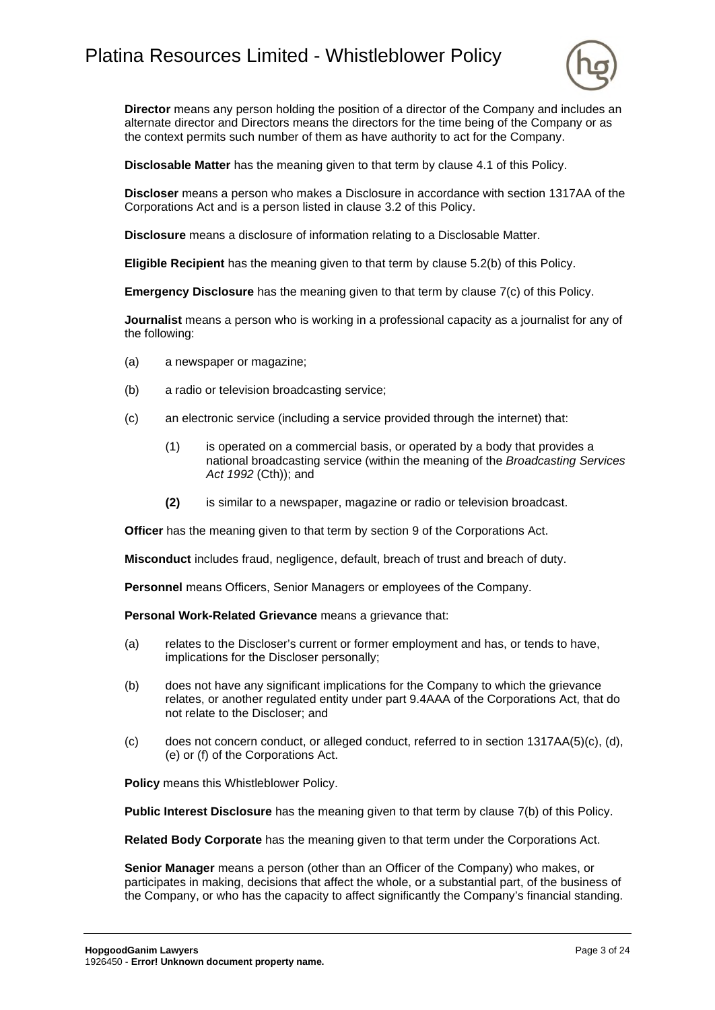# Platina Resources Limited - Whistleblower Policy



**Director** means any person holding the position of a director of the Company and includes an alternate director and Directors means the directors for the time being of the Company or as the context permits such number of them as have authority to act for the Company.

**Disclosable Matter** has the meaning given to that term by clause [4.1](#page-6-1) of this Policy.

**Discloser** means a person who makes a Disclosure in accordance with section 1317AA of the Corporations Act and is a person listed in clause [3.2](#page-5-4) of this Policy.

**Disclosure** means a disclosure of information relating to a Disclosable Matter.

**Eligible Recipient** has the meaning given to that term by clause [5.2\(b\)](#page-9-3) of this Policy.

**Emergency Disclosure** has the meaning given to that term by clause  $7(c)$  of this Policy.

**Journalist** means a person who is working in a professional capacity as a journalist for any of the following:

- (a) a newspaper or magazine;
- (b) a radio or television broadcasting service;
- (c) an electronic service (including a service provided through the internet) that:
	- (1) is operated on a commercial basis, or operated by a body that provides a national broadcasting service (within the meaning of the *Broadcasting Services Act 1992* (Cth)); and
	- **(2)** is similar to a newspaper, magazine or radio or television broadcast.

**Officer** has the meaning given to that term by section 9 of the Corporations Act.

**Misconduct** includes fraud, negligence, default, breach of trust and breach of duty.

**Personnel** means Officers, Senior Managers or employees of the Company.

**Personal Work-Related Grievance** means a grievance that:

- (a) relates to the Discloser's current or former employment and has, or tends to have, implications for the Discloser personally;
- (b) does not have any significant implications for the Company to which the grievance relates, or another regulated entity under part 9.4AAA of the Corporations Act, that do not relate to the Discloser; and
- (c) does not concern conduct, or alleged conduct, referred to in section  $1317AA(5)(c)$ , (d), (e) or (f) of the Corporations Act.

**Policy** means this Whistleblower Policy.

**Public Interest Disclosure** has the meaning given to that term by clause [7\(b\)](#page-10-4) of this Policy.

**Related Body Corporate** has the meaning given to that term under the Corporations Act.

**Senior Manager** means a person (other than an Officer of the Company) who makes, or participates in making, decisions that affect the whole, or a substantial part, of the business of the Company, or who has the capacity to affect significantly the Company's financial standing.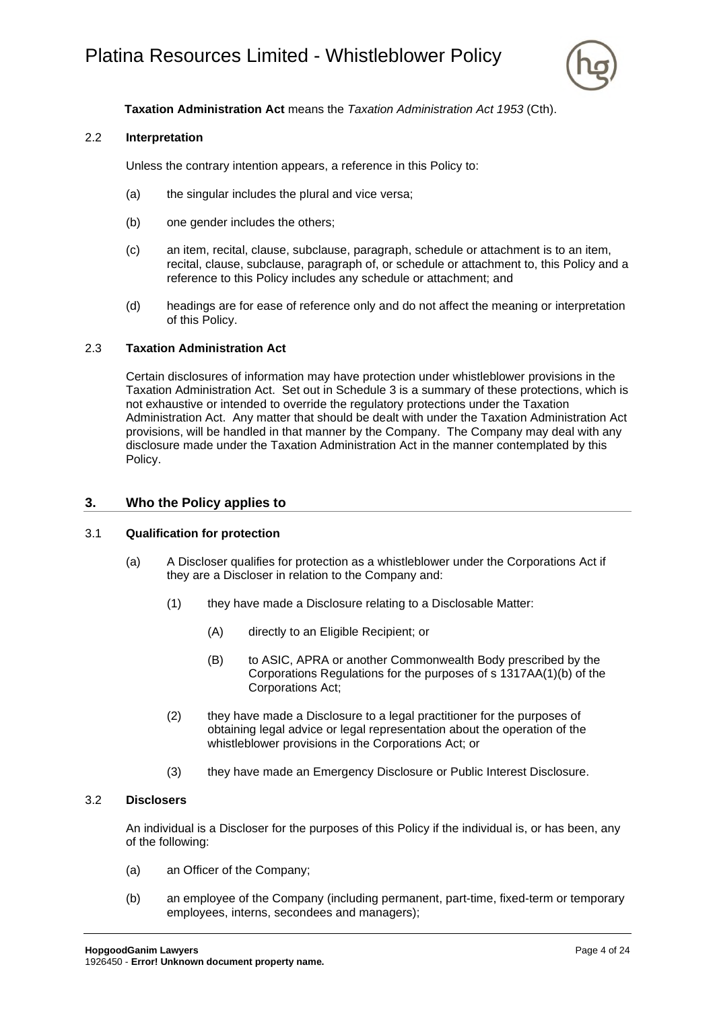

## **Taxation Administration Act** means the *Taxation Administration Act 1953* (Cth).

#### <span id="page-5-0"></span>2.2 **Interpretation**

Unless the contrary intention appears, a reference in this Policy to:

- (a) the singular includes the plural and vice versa;
- (b) one gender includes the others;
- (c) an item, recital, clause, subclause, paragraph, schedule or attachment is to an item, recital, clause, subclause, paragraph of, or schedule or attachment to, this Policy and a reference to this Policy includes any schedule or attachment; and
- (d) headings are for ease of reference only and do not affect the meaning or interpretation of this Policy.

#### <span id="page-5-1"></span>2.3 **Taxation Administration Act**

Certain disclosures of information may have protection under whistleblower provisions in the Taxation Administration Act. Set out in [Schedule 3](#page-24-0) is a summary of these protections, which is not exhaustive or intended to override the regulatory protections under the Taxation Administration Act. Any matter that should be dealt with under the Taxation Administration Act provisions, will be handled in that manner by the Company. The Company may deal with any disclosure made under the Taxation Administration Act in the manner contemplated by this Policy.

#### <span id="page-5-2"></span>**3. Who the Policy applies to**

#### <span id="page-5-3"></span>3.1 **Qualification for protection**

- (a) A Discloser qualifies for protection as a whistleblower under the Corporations Act if they are a Discloser in relation to the Company and:
	- (1) they have made a Disclosure relating to a Disclosable Matter:
		- (A) directly to an Eligible Recipient; or
		- (B) to ASIC, APRA or another Commonwealth Body prescribed by the Corporations Regulations for the purposes of s 1317AA(1)(b) of the Corporations Act;
	- (2) they have made a Disclosure to a legal practitioner for the purposes of obtaining legal advice or legal representation about the operation of the whistleblower provisions in the Corporations Act; or
	- (3) they have made an Emergency Disclosure or Public Interest Disclosure.

#### <span id="page-5-4"></span>3.2 **Disclosers**

An individual is a Discloser for the purposes of this Policy if the individual is, or has been, any of the following:

- <span id="page-5-5"></span>(a) an Officer of the Company;
- (b) an employee of the Company (including permanent, part-time, fixed-term or temporary employees, interns, secondees and managers);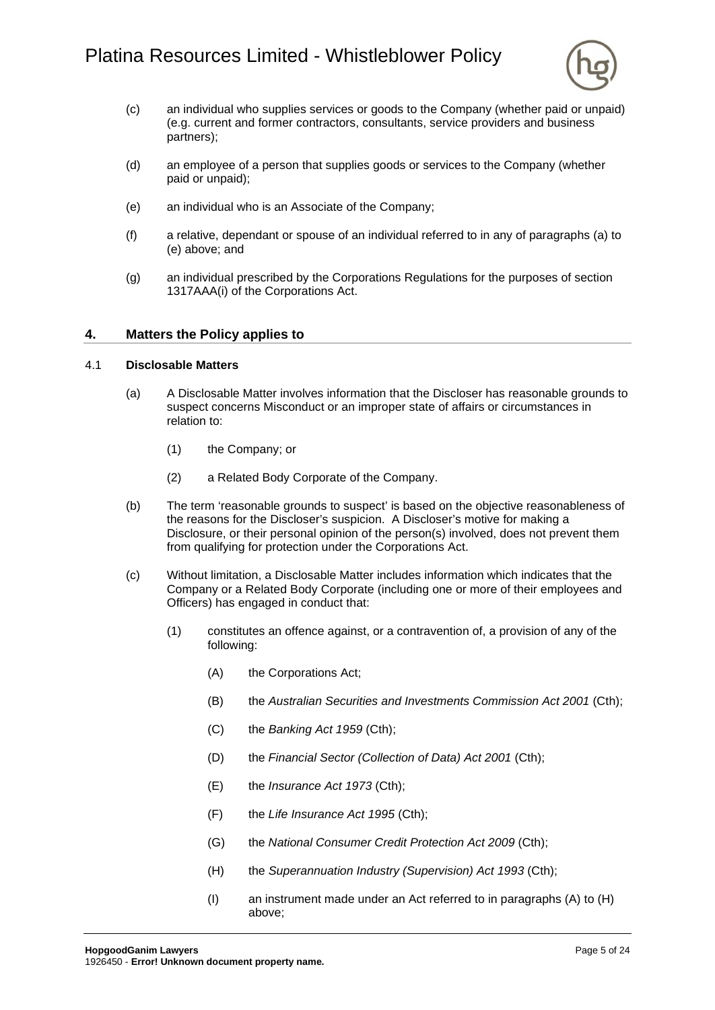

- (c) an individual who supplies services or goods to the Company (whether paid or unpaid) (e.g. current and former contractors, consultants, service providers and business partners);
- (d) an employee of a person that supplies goods or services to the Company (whether paid or unpaid);
- <span id="page-6-2"></span>(e) an individual who is an Associate of the Company;
- (f) a relative, dependant or spouse of an individual referred to in any of paragraphs [\(a\)](#page-5-5) to [\(e\)](#page-6-2) above; and
- (g) an individual prescribed by the Corporations Regulations for the purposes of section 1317AAA(i) of the Corporations Act.

#### <span id="page-6-0"></span>**4. Matters the Policy applies to**

#### <span id="page-6-1"></span>4.1 **Disclosable Matters**

- (a) A Disclosable Matter involves information that the Discloser has reasonable grounds to suspect concerns Misconduct or an improper state of affairs or circumstances in relation to:
	- (1) the Company; or
	- (2) a Related Body Corporate of the Company.
- (b) The term 'reasonable grounds to suspect' is based on the objective reasonableness of the reasons for the Discloser's suspicion. A Discloser's motive for making a Disclosure, or their personal opinion of the person(s) involved, does not prevent them from qualifying for protection under the Corporations Act.
- <span id="page-6-4"></span><span id="page-6-3"></span>(c) Without limitation, a Disclosable Matter includes information which indicates that the Company or a Related Body Corporate (including one or more of their employees and Officers) has engaged in conduct that:
	- (1) constitutes an offence against, or a contravention of, a provision of any of the following:
		- (A) the Corporations Act;
		- (B) the *Australian Securities and Investments Commission Act 2001* (Cth);
		- (C) the *Banking Act 1959* (Cth);
		- (D) the *Financial Sector (Collection of Data) Act 2001* (Cth);
		- (E) the *Insurance Act 1973* (Cth);
		- (F) the *Life Insurance Act 1995* (Cth);
		- (G) the *National Consumer Credit Protection Act 2009* (Cth);
		- (H) the *Superannuation Industry (Supervision) Act 1993* (Cth);
		- (I) an instrument made under an Act referred to in paragraphs [\(A\)](#page-6-3) to [\(H\)](#page-6-4) above;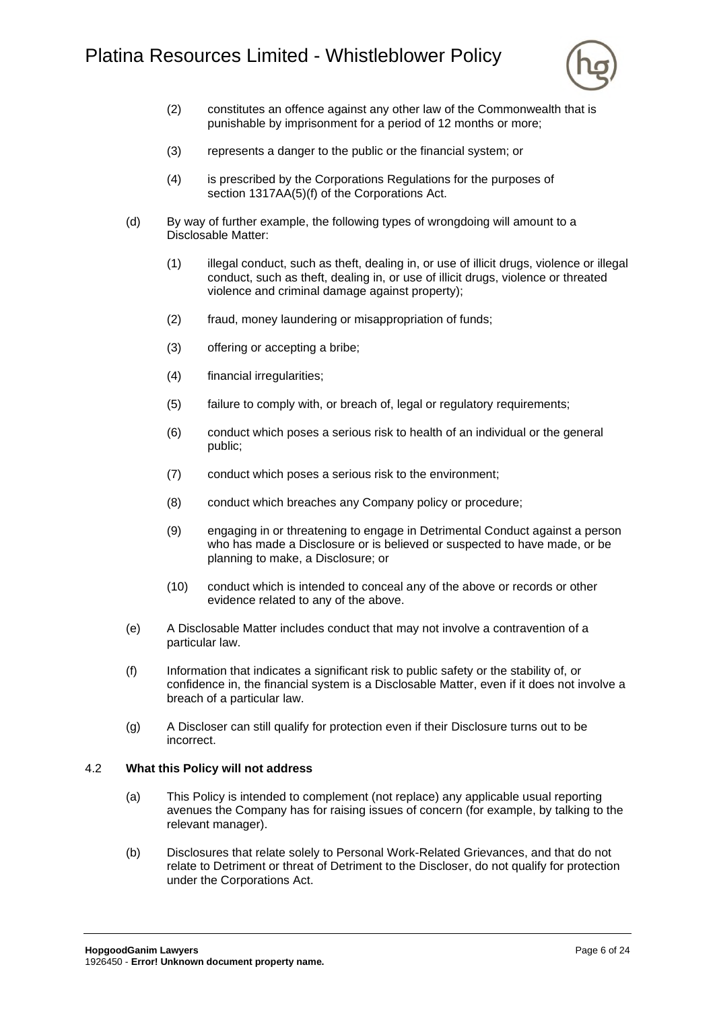

- (2) constitutes an offence against any other law of the Commonwealth that is punishable by imprisonment for a period of 12 months or more;
- (3) represents a danger to the public or the financial system; or
- (4) is prescribed by the Corporations Regulations for the purposes of section 1317AA(5)(f) of the Corporations Act.
- (d) By way of further example, the following types of wrongdoing will amount to a Disclosable Matter:
	- (1) illegal conduct, such as theft, dealing in, or use of illicit drugs, violence or illegal conduct, such as theft, dealing in, or use of illicit drugs, violence or threated violence and criminal damage against property);
	- (2) fraud, money laundering or misappropriation of funds;
	- (3) offering or accepting a bribe;
	- (4) financial irregularities;
	- (5) failure to comply with, or breach of, legal or regulatory requirements;
	- (6) conduct which poses a serious risk to health of an individual or the general public;
	- (7) conduct which poses a serious risk to the environment;
	- (8) conduct which breaches any Company policy or procedure;
	- (9) engaging in or threatening to engage in Detrimental Conduct against a person who has made a Disclosure or is believed or suspected to have made, or be planning to make, a Disclosure; or
	- (10) conduct which is intended to conceal any of the above or records or other evidence related to any of the above.
- (e) A Disclosable Matter includes conduct that may not involve a contravention of a particular law.
- (f) Information that indicates a significant risk to public safety or the stability of, or confidence in, the financial system is a Disclosable Matter, even if it does not involve a breach of a particular law.
- (g) A Discloser can still qualify for protection even if their Disclosure turns out to be incorrect.

#### <span id="page-7-0"></span>4.2 **What this Policy will not address**

- (a) This Policy is intended to complement (not replace) any applicable usual reporting avenues the Company has for raising issues of concern (for example, by talking to the relevant manager).
- (b) Disclosures that relate solely to Personal Work-Related Grievances, and that do not relate to Detriment or threat of Detriment to the Discloser, do not qualify for protection under the Corporations Act.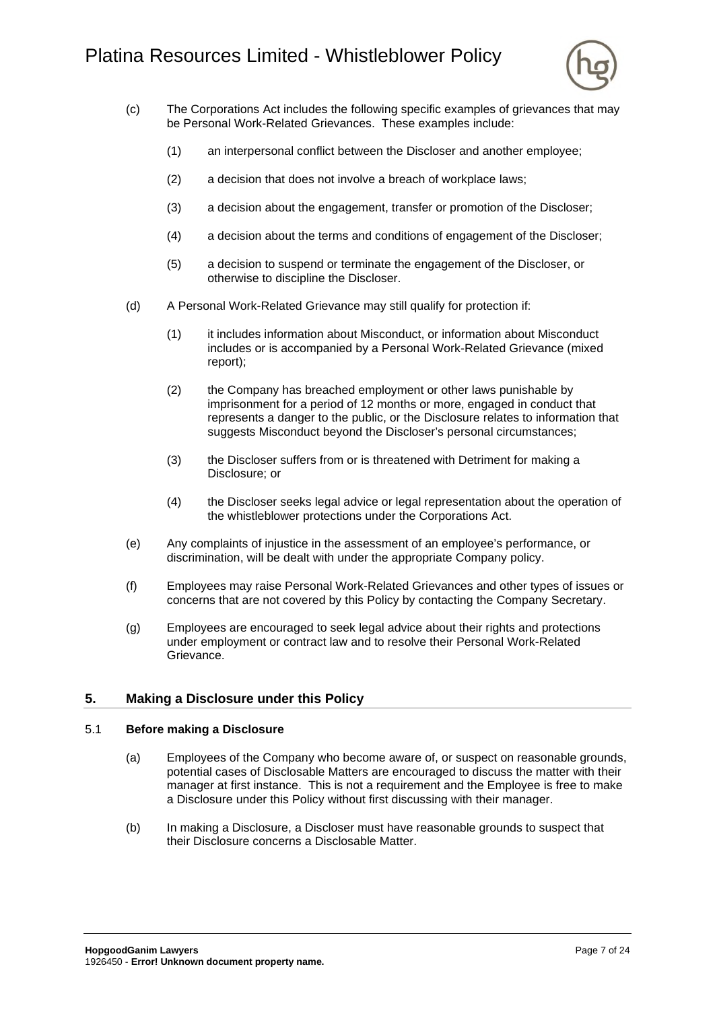# Platina Resources Limited - Whistleblower Policy



- (c) The Corporations Act includes the following specific examples of grievances that may be Personal Work-Related Grievances. These examples include:
	- (1) an interpersonal conflict between the Discloser and another employee;
	- (2) a decision that does not involve a breach of workplace laws;
	- (3) a decision about the engagement, transfer or promotion of the Discloser;
	- (4) a decision about the terms and conditions of engagement of the Discloser;
	- (5) a decision to suspend or terminate the engagement of the Discloser, or otherwise to discipline the Discloser.
- (d) A Personal Work-Related Grievance may still qualify for protection if:
	- (1) it includes information about Misconduct, or information about Misconduct includes or is accompanied by a Personal Work-Related Grievance (mixed report);
	- (2) the Company has breached employment or other laws punishable by imprisonment for a period of 12 months or more, engaged in conduct that represents a danger to the public, or the Disclosure relates to information that suggests Misconduct beyond the Discloser's personal circumstances;
	- (3) the Discloser suffers from or is threatened with Detriment for making a Disclosure; or
	- (4) the Discloser seeks legal advice or legal representation about the operation of the whistleblower protections under the Corporations Act.
- (e) Any complaints of injustice in the assessment of an employee's performance, or discrimination, will be dealt with under the appropriate Company policy.
- (f) Employees may raise Personal Work-Related Grievances and other types of issues or concerns that are not covered by this Policy by contacting the Company Secretary.
- (g) Employees are encouraged to seek legal advice about their rights and protections under employment or contract law and to resolve their Personal Work-Related Grievance.

# <span id="page-8-0"></span>**5. Making a Disclosure under this Policy**

#### <span id="page-8-1"></span>5.1 **Before making a Disclosure**

- (a) Employees of the Company who become aware of, or suspect on reasonable grounds, potential cases of Disclosable Matters are encouraged to discuss the matter with their manager at first instance. This is not a requirement and the Employee is free to make a Disclosure under this Policy without first discussing with their manager.
- (b) In making a Disclosure, a Discloser must have reasonable grounds to suspect that their Disclosure concerns a Disclosable Matter.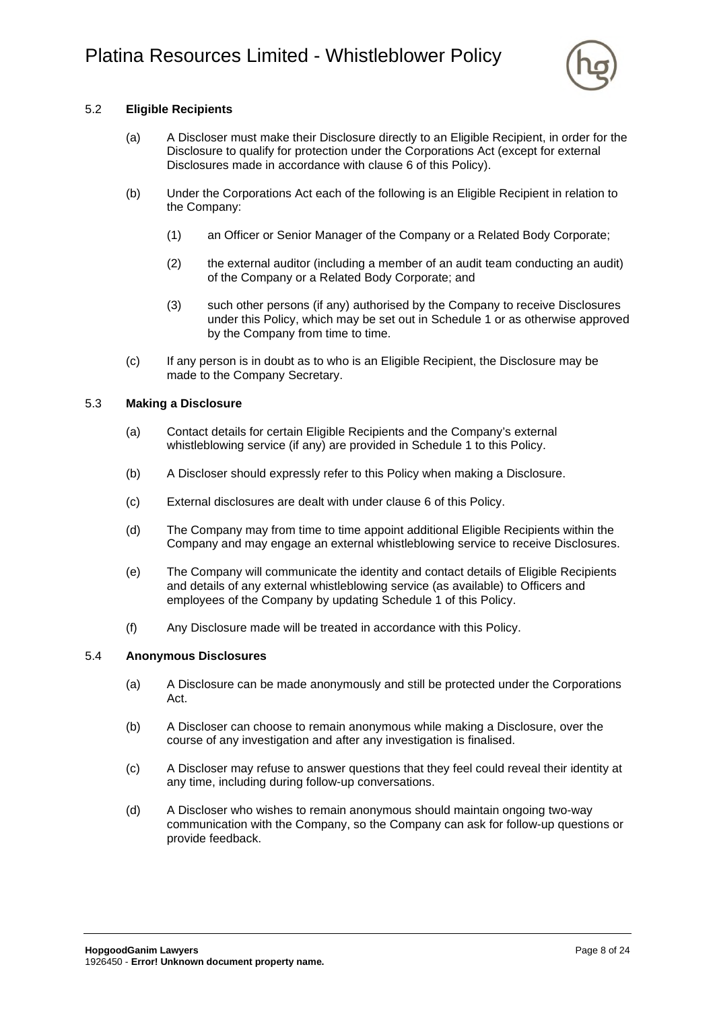

## <span id="page-9-0"></span>5.2 **Eligible Recipients**

- (a) A Discloser must make their Disclosure directly to an Eligible Recipient, in order for the Disclosure to qualify for protection under the Corporations Act (except for external Disclosures made in accordance with clause [6](#page-10-0) of this Policy).
- <span id="page-9-3"></span>(b) Under the Corporations Act each of the following is an Eligible Recipient in relation to the Company:
	- (1) an Officer or Senior Manager of the Company or a Related Body Corporate;
	- (2) the external auditor (including a member of an audit team conducting an audit) of the Company or a Related Body Corporate; and
	- (3) such other persons (if any) authorised by the Company to receive Disclosures under this Policy, which may be set out in [Schedule 1](#page-19-0) or as otherwise approved by the Company from time to time.
- (c) If any person is in doubt as to who is an Eligible Recipient, the Disclosure may be made to the Company Secretary.

#### <span id="page-9-1"></span>5.3 **Making a Disclosure**

- (a) Contact details for certain Eligible Recipients and the Company's external whistleblowing service (if any) are provided in [Schedule 1](#page-19-0) to this Policy.
- (b) A Discloser should expressly refer to this Policy when making a Disclosure.
- (c) External disclosures are dealt with under clause [6](#page-10-0) of this Policy.
- (d) The Company may from time to time appoint additional Eligible Recipients within the Company and may engage an external whistleblowing service to receive Disclosures.
- (e) The Company will communicate the identity and contact details of Eligible Recipients and details of any external whistleblowing service (as available) to Officers and employees of the Company by updating [Schedule 1](#page-19-0) of this Policy.
- (f) Any Disclosure made will be treated in accordance with this Policy.

#### <span id="page-9-2"></span>5.4 **Anonymous Disclosures**

- (a) A Disclosure can be made anonymously and still be protected under the Corporations Act.
- (b) A Discloser can choose to remain anonymous while making a Disclosure, over the course of any investigation and after any investigation is finalised.
- (c) A Discloser may refuse to answer questions that they feel could reveal their identity at any time, including during follow-up conversations.
- (d) A Discloser who wishes to remain anonymous should maintain ongoing two-way communication with the Company, so the Company can ask for follow-up questions or provide feedback.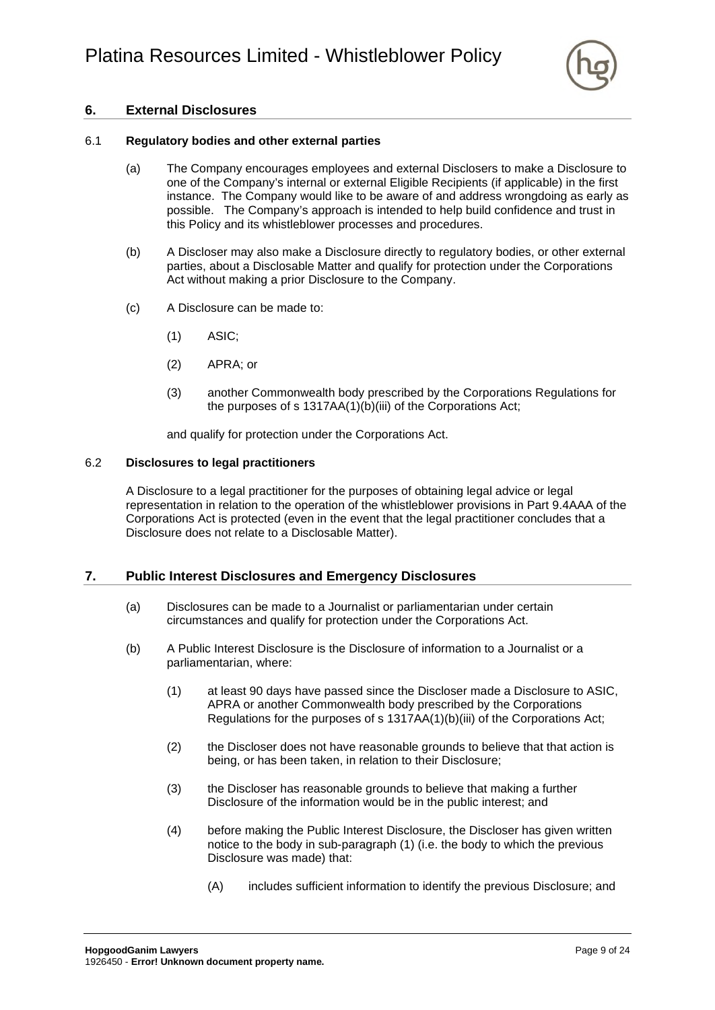

# <span id="page-10-0"></span>**6. External Disclosures**

#### <span id="page-10-1"></span>6.1 **Regulatory bodies and other external parties**

- (a) The Company encourages employees and external Disclosers to make a Disclosure to one of the Company's internal or external Eligible Recipients (if applicable) in the first instance. The Company would like to be aware of and address wrongdoing as early as possible. The Company's approach is intended to help build confidence and trust in this Policy and its whistleblower processes and procedures.
- (b) A Discloser may also make a Disclosure directly to regulatory bodies, or other external parties, about a Disclosable Matter and qualify for protection under the Corporations Act without making a prior Disclosure to the Company.
- (c) A Disclosure can be made to:
	- (1) ASIC;
	- (2) APRA; or
	- (3) another Commonwealth body prescribed by the Corporations Regulations for the purposes of s 1317AA(1)(b)(iii) of the Corporations Act;

and qualify for protection under the Corporations Act.

#### <span id="page-10-2"></span>6.2 **Disclosures to legal practitioners**

A Disclosure to a legal practitioner for the purposes of obtaining legal advice or legal representation in relation to the operation of the whistleblower provisions in Part 9.4AAA of the Corporations Act is protected (even in the event that the legal practitioner concludes that a Disclosure does not relate to a Disclosable Matter).

#### <span id="page-10-3"></span>**7. Public Interest Disclosures and Emergency Disclosures**

- (a) Disclosures can be made to a Journalist or parliamentarian under certain circumstances and qualify for protection under the Corporations Act.
- <span id="page-10-5"></span><span id="page-10-4"></span>(b) A Public Interest Disclosure is the Disclosure of information to a Journalist or a parliamentarian, where:
	- (1) at least 90 days have passed since the Discloser made a Disclosure to ASIC, APRA or another Commonwealth body prescribed by the Corporations Regulations for the purposes of s 1317AA(1)(b)(iii) of the Corporations Act;
	- (2) the Discloser does not have reasonable grounds to believe that that action is being, or has been taken, in relation to their Disclosure;
	- (3) the Discloser has reasonable grounds to believe that making a further Disclosure of the information would be in the public interest; and
	- (4) before making the Public Interest Disclosure, the Discloser has given written notice to the body in sub-paragraph [\(1\) \(](#page-10-5)i.e. the body to which the previous Disclosure was made) that:
		- (A) includes sufficient information to identify the previous Disclosure; and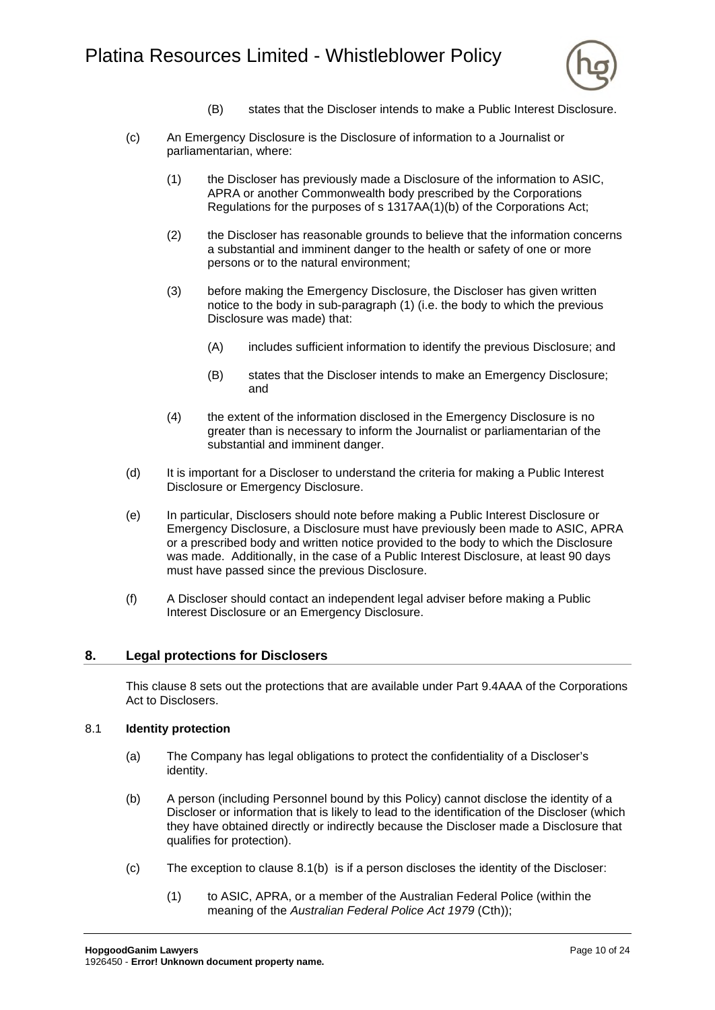

- (B) states that the Discloser intends to make a Public Interest Disclosure.
- <span id="page-11-3"></span><span id="page-11-2"></span>(c) An Emergency Disclosure is the Disclosure of information to a Journalist or parliamentarian, where:
	- (1) the Discloser has previously made a Disclosure of the information to ASIC, APRA or another Commonwealth body prescribed by the Corporations Regulations for the purposes of s 1317AA(1)(b) of the Corporations Act;
	- (2) the Discloser has reasonable grounds to believe that the information concerns a substantial and imminent danger to the health or safety of one or more persons or to the natural environment;
	- (3) before making the Emergency Disclosure, the Discloser has given written notice to the body in sub-paragraph [\(1\) \(](#page-11-3)i.e. the body to which the previous Disclosure was made) that:
		- (A) includes sufficient information to identify the previous Disclosure; and
		- (B) states that the Discloser intends to make an Emergency Disclosure; and
	- (4) the extent of the information disclosed in the Emergency Disclosure is no greater than is necessary to inform the Journalist or parliamentarian of the substantial and imminent danger.
- (d) It is important for a Discloser to understand the criteria for making a Public Interest Disclosure or Emergency Disclosure.
- (e) In particular, Disclosers should note before making a Public Interest Disclosure or Emergency Disclosure, a Disclosure must have previously been made to ASIC, APRA or a prescribed body and written notice provided to the body to which the Disclosure was made. Additionally, in the case of a Public Interest Disclosure, at least 90 days must have passed since the previous Disclosure.
- (f) A Discloser should contact an independent legal adviser before making a Public Interest Disclosure or an Emergency Disclosure.

#### <span id="page-11-0"></span>**8. Legal protections for Disclosers**

This clause [8](#page-11-0) sets out the protections that are available under Part 9.4AAA of the Corporations Act to Disclosers.

#### <span id="page-11-1"></span>8.1 **Identity protection**

- (a) The Company has legal obligations to protect the confidentiality of a Discloser's identity.
- <span id="page-11-4"></span>(b) A person (including Personnel bound by this Policy) cannot disclose the identity of a Discloser or information that is likely to lead to the identification of the Discloser (which they have obtained directly or indirectly because the Discloser made a Disclosure that qualifies for protection).
- <span id="page-11-5"></span>(c) The exception to clause [8.1\(b\)](#page-11-4) is if a person discloses the identity of the Discloser:
	- (1) to ASIC, APRA, or a member of the Australian Federal Police (within the meaning of the *Australian Federal Police Act 1979* (Cth));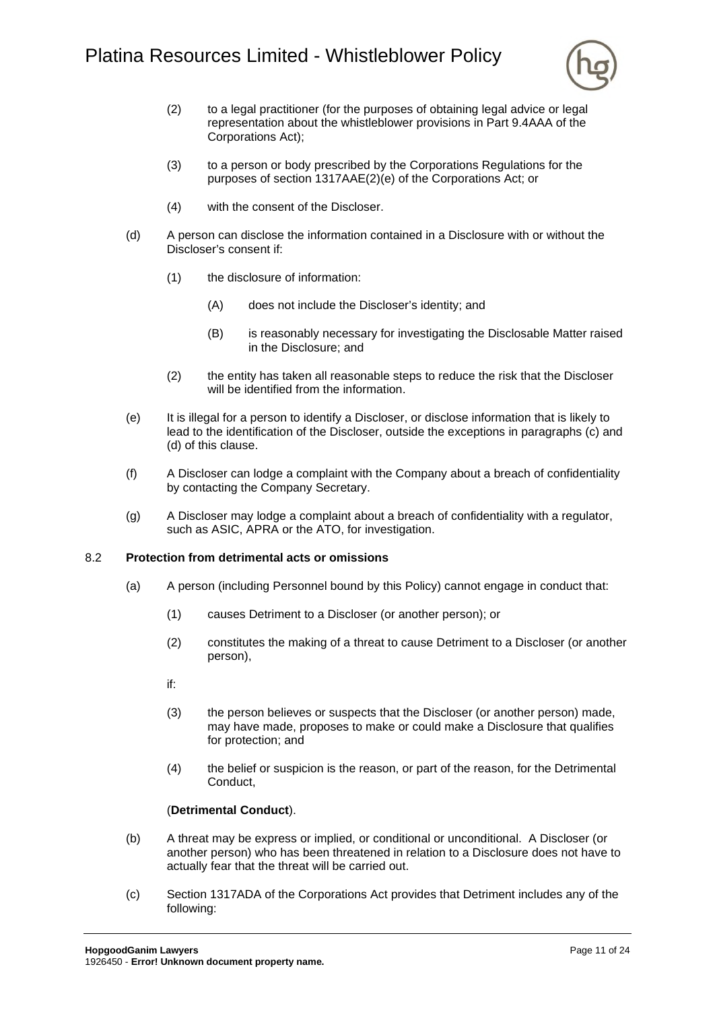

- (2) to a legal practitioner (for the purposes of obtaining legal advice or legal representation about the whistleblower provisions in Part 9.4AAA of the Corporations Act);
- (3) to a person or body prescribed by the Corporations Regulations for the purposes of section 1317AAE(2)(e) of the Corporations Act; or
- (4) with the consent of the Discloser.
- <span id="page-12-1"></span>(d) A person can disclose the information contained in a Disclosure with or without the Discloser's consent if:
	- (1) the disclosure of information:
		- (A) does not include the Discloser's identity; and
		- (B) is reasonably necessary for investigating the Disclosable Matter raised in the Disclosure; and
	- (2) the entity has taken all reasonable steps to reduce the risk that the Discloser will be identified from the information.
- (e) It is illegal for a person to identify a Discloser, or disclose information that is likely to lead to the identification of the Discloser, outside the exceptions in paragraphs [\(c\)](#page-11-5) and [\(d\)](#page-12-1) of this clause.
- (f) A Discloser can lodge a complaint with the Company about a breach of confidentiality by contacting the Company Secretary.
- (g) A Discloser may lodge a complaint about a breach of confidentiality with a regulator, such as ASIC, APRA or the ATO, for investigation.

#### <span id="page-12-0"></span>8.2 **Protection from detrimental acts or omissions**

- (a) A person (including Personnel bound by this Policy) cannot engage in conduct that:
	- (1) causes Detriment to a Discloser (or another person); or
	- (2) constitutes the making of a threat to cause Detriment to a Discloser (or another person),
	- if:
	- (3) the person believes or suspects that the Discloser (or another person) made, may have made, proposes to make or could make a Disclosure that qualifies for protection; and
	- (4) the belief or suspicion is the reason, or part of the reason, for the Detrimental Conduct,

#### (**Detrimental Conduct**).

- (b) A threat may be express or implied, or conditional or unconditional. A Discloser (or another person) who has been threatened in relation to a Disclosure does not have to actually fear that the threat will be carried out.
- (c) Section 1317ADA of the Corporations Act provides that Detriment includes any of the following: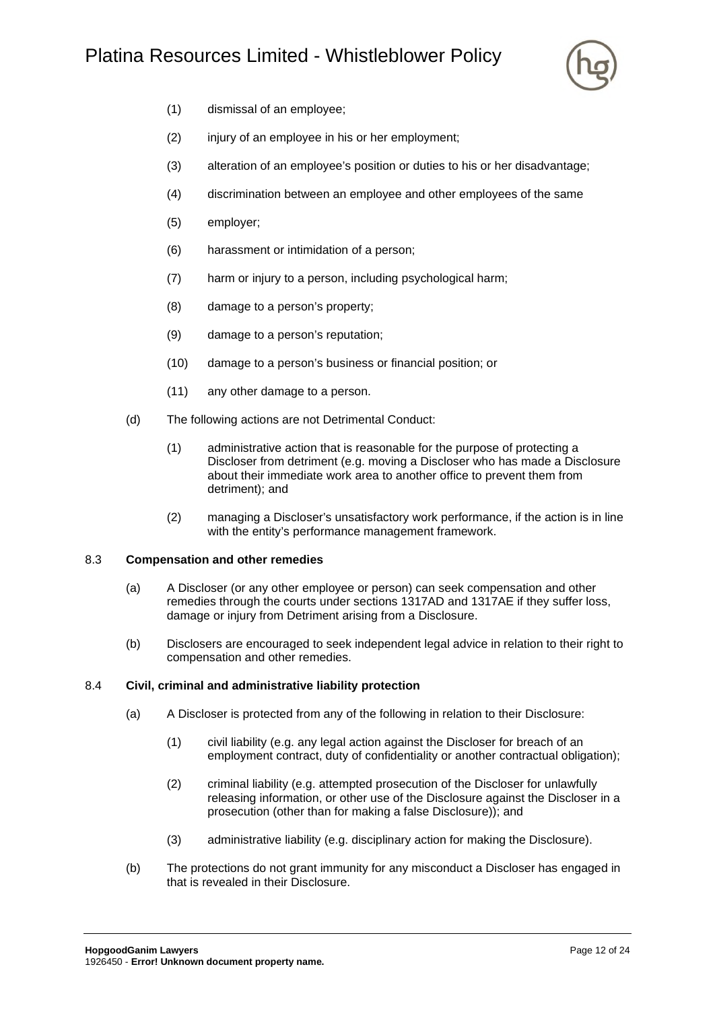# Platina Resources Limited - Whistleblower Policy



- (1) dismissal of an employee;
- (2) injury of an employee in his or her employment;
- (3) alteration of an employee's position or duties to his or her disadvantage;
- (4) discrimination between an employee and other employees of the same
- (5) employer;
- (6) harassment or intimidation of a person;
- (7) harm or injury to a person, including psychological harm;
- (8) damage to a person's property;
- (9) damage to a person's reputation;
- (10) damage to a person's business or financial position; or
- (11) any other damage to a person.
- (d) The following actions are not Detrimental Conduct:
	- (1) administrative action that is reasonable for the purpose of protecting a Discloser from detriment (e.g. moving a Discloser who has made a Disclosure about their immediate work area to another office to prevent them from detriment); and
	- (2) managing a Discloser's unsatisfactory work performance, if the action is in line with the entity's performance management framework.

#### <span id="page-13-0"></span>8.3 **Compensation and other remedies**

- (a) A Discloser (or any other employee or person) can seek compensation and other remedies through the courts under sections 1317AD and 1317AE if they suffer loss, damage or injury from Detriment arising from a Disclosure.
- (b) Disclosers are encouraged to seek independent legal advice in relation to their right to compensation and other remedies.

#### <span id="page-13-1"></span>8.4 **Civil, criminal and administrative liability protection**

- (a) A Discloser is protected from any of the following in relation to their Disclosure:
	- (1) civil liability (e.g. any legal action against the Discloser for breach of an employment contract, duty of confidentiality or another contractual obligation);
	- (2) criminal liability (e.g. attempted prosecution of the Discloser for unlawfully releasing information, or other use of the Disclosure against the Discloser in a prosecution (other than for making a false Disclosure)); and
	- (3) administrative liability (e.g. disciplinary action for making the Disclosure).
- (b) The protections do not grant immunity for any misconduct a Discloser has engaged in that is revealed in their Disclosure.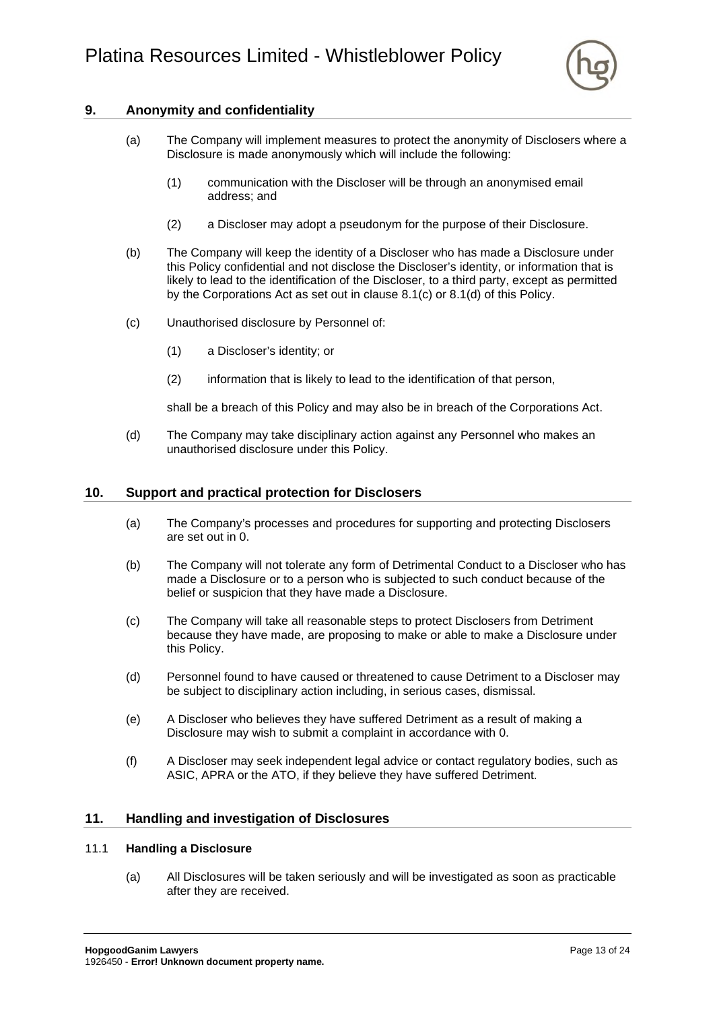

# <span id="page-14-0"></span>**9. Anonymity and confidentiality**

- (a) The Company will implement measures to protect the anonymity of Disclosers where a Disclosure is made anonymously which will include the following:
	- (1) communication with the Discloser will be through an anonymised email address; and
	- (2) a Discloser may adopt a pseudonym for the purpose of their Disclosure.
- (b) The Company will keep the identity of a Discloser who has made a Disclosure under this Policy confidential and not disclose the Discloser's identity, or information that is likely to lead to the identification of the Discloser, to a third party, except as permitted by the Corporations Act as set out in clause [8.1\(c\)](#page-11-5) or [8.1\(d\)](#page-12-1) of this Policy.
- (c) Unauthorised disclosure by Personnel of:
	- (1) a Discloser's identity; or
	- (2) information that is likely to lead to the identification of that person,

shall be a breach of this Policy and may also be in breach of the Corporations Act.

(d) The Company may take disciplinary action against any Personnel who makes an unauthorised disclosure under this Policy.

#### <span id="page-14-1"></span>**10. Support and practical protection for Disclosers**

- (a) The Company's processes and procedures for supporting and protecting Disclosers are set out in [0.](#page-20-0)
- (b) The Company will not tolerate any form of Detrimental Conduct to a Discloser who has made a Disclosure or to a person who is subjected to such conduct because of the belief or suspicion that they have made a Disclosure.
- (c) The Company will take all reasonable steps to protect Disclosers from Detriment because they have made, are proposing to make or able to make a Disclosure under this Policy.
- (d) Personnel found to have caused or threatened to cause Detriment to a Discloser may be subject to disciplinary action including, in serious cases, dismissal.
- (e) A Discloser who believes they have suffered Detriment as a result of making a Disclosure may wish to submit a complaint in accordance with [0.](#page-20-0)
- (f) A Discloser may seek independent legal advice or contact regulatory bodies, such as ASIC, APRA or the ATO, if they believe they have suffered Detriment.

#### <span id="page-14-2"></span>**11. Handling and investigation of Disclosures**

#### <span id="page-14-3"></span>11.1 **Handling a Disclosure**

(a) All Disclosures will be taken seriously and will be investigated as soon as practicable after they are received.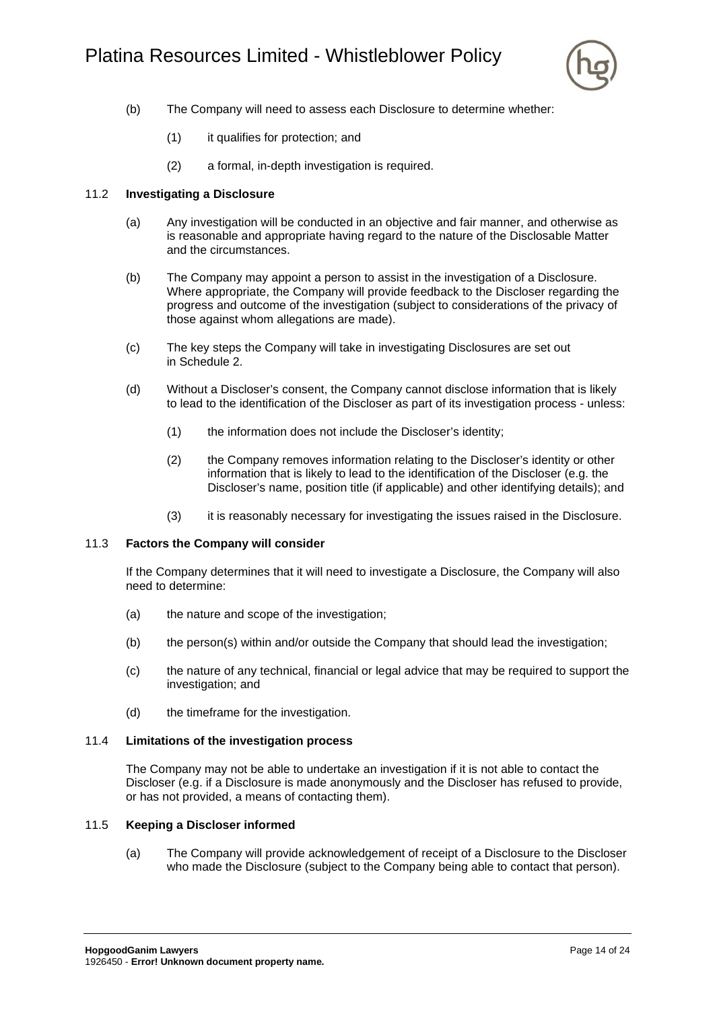

- (b) The Company will need to assess each Disclosure to determine whether:
	- (1) it qualifies for protection; and
	- (2) a formal, in-depth investigation is required.

#### <span id="page-15-0"></span>11.2 **Investigating a Disclosure**

- (a) Any investigation will be conducted in an objective and fair manner, and otherwise as is reasonable and appropriate having regard to the nature of the Disclosable Matter and the circumstances.
- (b) The Company may appoint a person to assist in the investigation of a Disclosure. Where appropriate, the Company will provide feedback to the Discloser regarding the progress and outcome of the investigation (subject to considerations of the privacy of those against whom allegations are made).
- (c) The key steps the Company will take in investigating Disclosures are set out in [Schedule 2.](#page-21-0)
- (d) Without a Discloser's consent, the Company cannot disclose information that is likely to lead to the identification of the Discloser as part of its investigation process - unless:
	- (1) the information does not include the Discloser's identity;
	- (2) the Company removes information relating to the Discloser's identity or other information that is likely to lead to the identification of the Discloser (e.g. the Discloser's name, position title (if applicable) and other identifying details); and
	- (3) it is reasonably necessary for investigating the issues raised in the Disclosure.

#### <span id="page-15-1"></span>11.3 **Factors the Company will consider**

If the Company determines that it will need to investigate a Disclosure, the Company will also need to determine:

- (a) the nature and scope of the investigation;
- (b) the person(s) within and/or outside the Company that should lead the investigation;
- (c) the nature of any technical, financial or legal advice that may be required to support the investigation; and
- (d) the timeframe for the investigation.

#### <span id="page-15-2"></span>11.4 **Limitations of the investigation process**

The Company may not be able to undertake an investigation if it is not able to contact the Discloser (e.g. if a Disclosure is made anonymously and the Discloser has refused to provide, or has not provided, a means of contacting them).

#### <span id="page-15-3"></span>11.5 **Keeping a Discloser informed**

(a) The Company will provide acknowledgement of receipt of a Disclosure to the Discloser who made the Disclosure (subject to the Company being able to contact that person).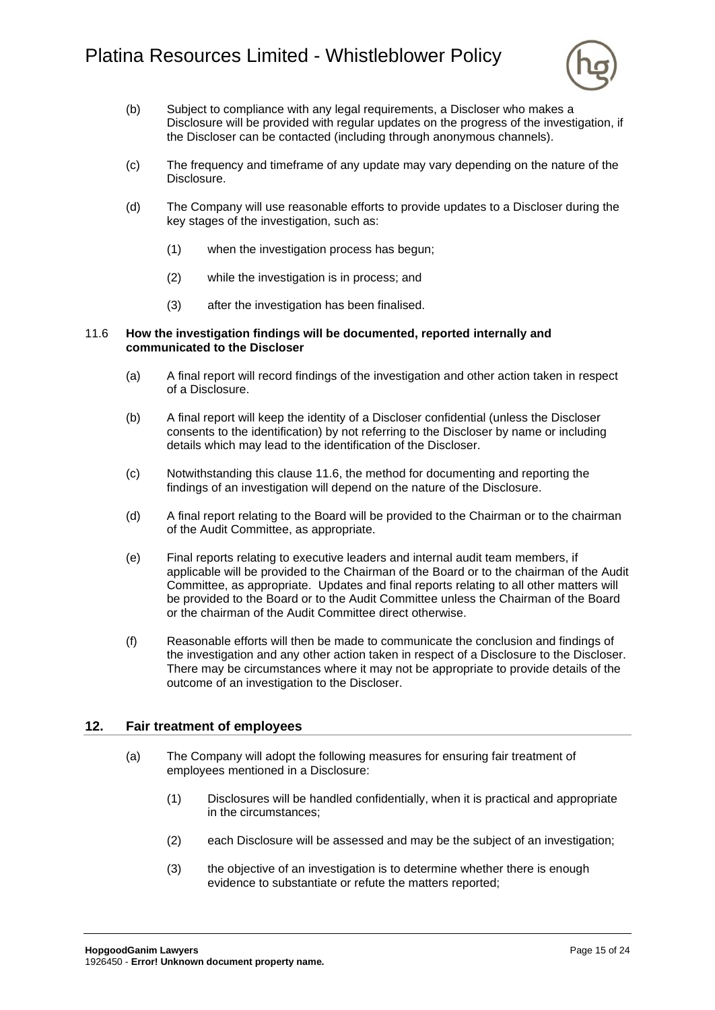

- (b) Subject to compliance with any legal requirements, a Discloser who makes a Disclosure will be provided with regular updates on the progress of the investigation, if the Discloser can be contacted (including through anonymous channels).
- (c) The frequency and timeframe of any update may vary depending on the nature of the Disclosure.
- (d) The Company will use reasonable efforts to provide updates to a Discloser during the key stages of the investigation, such as:
	- (1) when the investigation process has begun;
	- (2) while the investigation is in process; and
	- (3) after the investigation has been finalised.

#### <span id="page-16-0"></span>11.6 **How the investigation findings will be documented, reported internally and communicated to the Discloser**

- (a) A final report will record findings of the investigation and other action taken in respect of a Disclosure.
- (b) A final report will keep the identity of a Discloser confidential (unless the Discloser consents to the identification) by not referring to the Discloser by name or including details which may lead to the identification of the Discloser.
- (c) Notwithstanding this clause [11.6,](#page-16-0) the method for documenting and reporting the findings of an investigation will depend on the nature of the Disclosure.
- (d) A final report relating to the Board will be provided to the Chairman or to the chairman of the Audit Committee, as appropriate.
- (e) Final reports relating to executive leaders and internal audit team members, if applicable will be provided to the Chairman of the Board or to the chairman of the Audit Committee, as appropriate. Updates and final reports relating to all other matters will be provided to the Board or to the Audit Committee unless the Chairman of the Board or the chairman of the Audit Committee direct otherwise.
- (f) Reasonable efforts will then be made to communicate the conclusion and findings of the investigation and any other action taken in respect of a Disclosure to the Discloser. There may be circumstances where it may not be appropriate to provide details of the outcome of an investigation to the Discloser.

# <span id="page-16-1"></span>**12. Fair treatment of employees**

- (a) The Company will adopt the following measures for ensuring fair treatment of employees mentioned in a Disclosure:
	- (1) Disclosures will be handled confidentially, when it is practical and appropriate in the circumstances;
	- (2) each Disclosure will be assessed and may be the subject of an investigation;
	- (3) the objective of an investigation is to determine whether there is enough evidence to substantiate or refute the matters reported;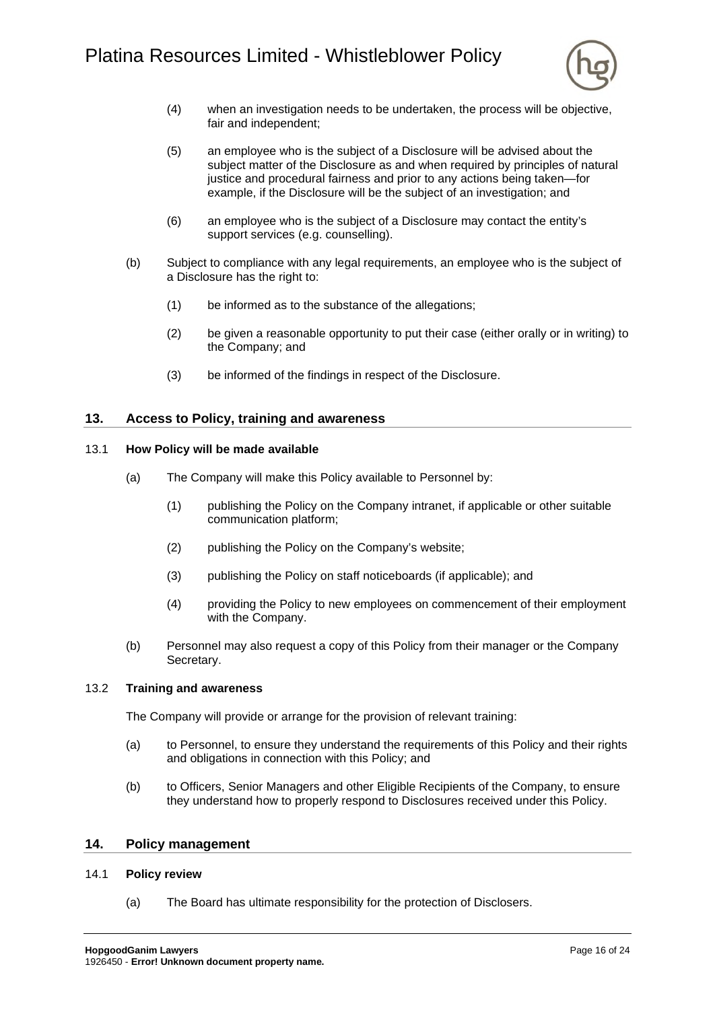

- (4) when an investigation needs to be undertaken, the process will be objective, fair and independent;
- (5) an employee who is the subject of a Disclosure will be advised about the subject matter of the Disclosure as and when required by principles of natural justice and procedural fairness and prior to any actions being taken—for example, if the Disclosure will be the subject of an investigation; and
- (6) an employee who is the subject of a Disclosure may contact the entity's support services (e.g. counselling).
- (b) Subject to compliance with any legal requirements, an employee who is the subject of a Disclosure has the right to:
	- (1) be informed as to the substance of the allegations;
	- (2) be given a reasonable opportunity to put their case (either orally or in writing) to the Company; and
	- (3) be informed of the findings in respect of the Disclosure.

#### <span id="page-17-0"></span>**13. Access to Policy, training and awareness**

#### <span id="page-17-1"></span>13.1 **How Policy will be made available**

- (a) The Company will make this Policy available to Personnel by:
	- (1) publishing the Policy on the Company intranet, if applicable or other suitable communication platform;
	- (2) publishing the Policy on the Company's website;
	- (3) publishing the Policy on staff noticeboards (if applicable); and
	- (4) providing the Policy to new employees on commencement of their employment with the Company.
- (b) Personnel may also request a copy of this Policy from their manager or the Company Secretary.

#### <span id="page-17-2"></span>13.2 **Training and awareness**

The Company will provide or arrange for the provision of relevant training:

- (a) to Personnel, to ensure they understand the requirements of this Policy and their rights and obligations in connection with this Policy; and
- (b) to Officers, Senior Managers and other Eligible Recipients of the Company, to ensure they understand how to properly respond to Disclosures received under this Policy.

#### <span id="page-17-3"></span>**14. Policy management**

#### <span id="page-17-4"></span>14.1 **Policy review**

(a) The Board has ultimate responsibility for the protection of Disclosers.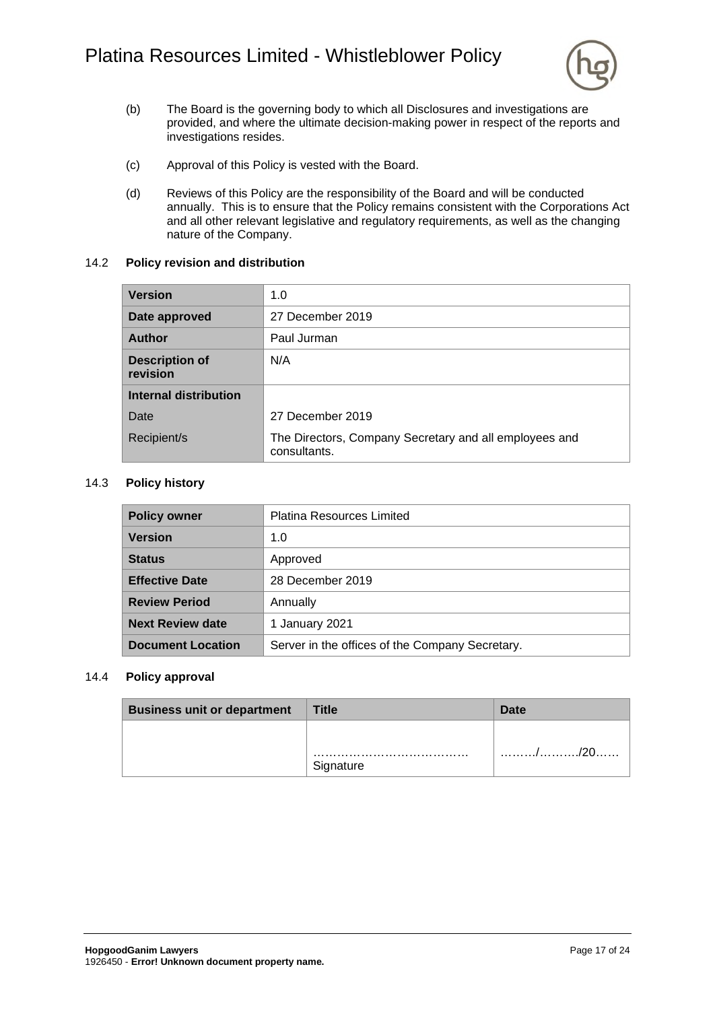

- (b) The Board is the governing body to which all Disclosures and investigations are provided, and where the ultimate decision-making power in respect of the reports and investigations resides.
- (c) Approval of this Policy is vested with the Board.
- (d) Reviews of this Policy are the responsibility of the Board and will be conducted annually. This is to ensure that the Policy remains consistent with the Corporations Act and all other relevant legislative and regulatory requirements, as well as the changing nature of the Company.

#### <span id="page-18-0"></span>14.2 **Policy revision and distribution**

| <b>Version</b>                    | 1.0                                                                    |  |
|-----------------------------------|------------------------------------------------------------------------|--|
| Date approved                     | 27 December 2019                                                       |  |
| <b>Author</b>                     | Paul Jurman                                                            |  |
| <b>Description of</b><br>revision | N/A                                                                    |  |
| <b>Internal distribution</b>      |                                                                        |  |
| Date                              | 27 December 2019                                                       |  |
| Recipient/s                       | The Directors, Company Secretary and all employees and<br>consultants. |  |

#### <span id="page-18-1"></span>14.3 **Policy history**

| <b>Policy owner</b>      | <b>Platina Resources Limited</b>                |  |
|--------------------------|-------------------------------------------------|--|
| <b>Version</b>           | 1.0                                             |  |
| <b>Status</b>            | Approved                                        |  |
| <b>Effective Date</b>    | 28 December 2019                                |  |
| <b>Review Period</b>     | Annually                                        |  |
| <b>Next Review date</b>  | 1 January 2021                                  |  |
| <b>Document Location</b> | Server in the offices of the Company Secretary. |  |

#### <span id="page-18-2"></span>14.4 **Policy approval**

| <b>Business unit or department</b> | Title     | Date |
|------------------------------------|-----------|------|
|                                    | Signature |      |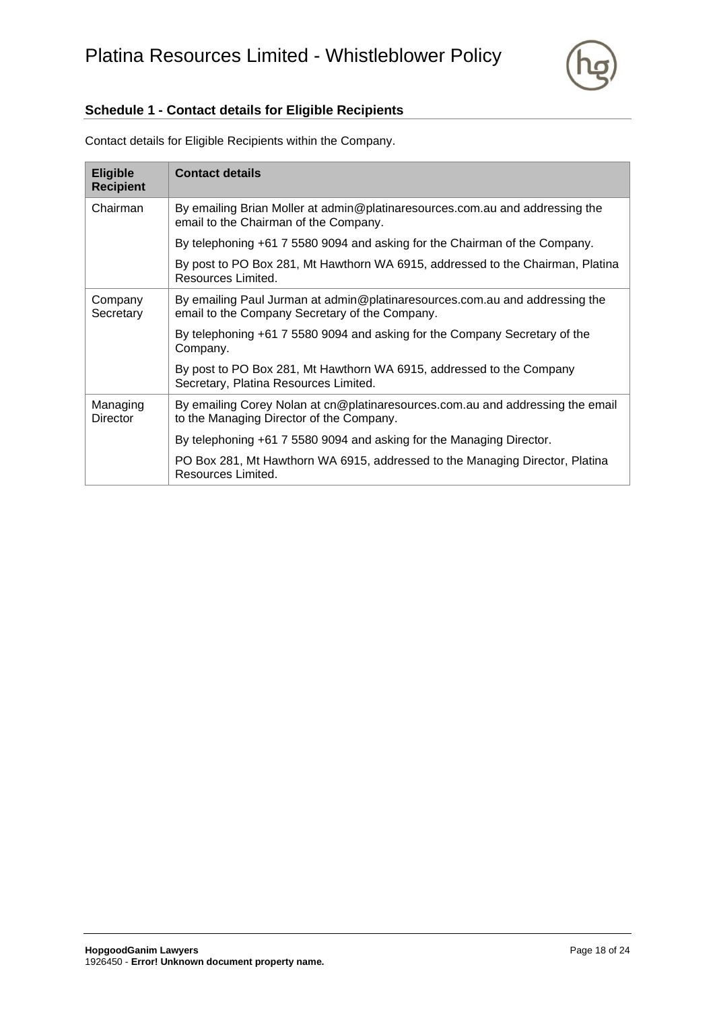

# <span id="page-19-0"></span>**Schedule 1 - Contact details for Eligible Recipients**

| <b>Eligible</b><br><b>Recipient</b> | <b>Contact details</b>                                                                                                        |
|-------------------------------------|-------------------------------------------------------------------------------------------------------------------------------|
| Chairman                            | By emailing Brian Moller at admin@platinaresources.com.au and addressing the<br>email to the Chairman of the Company.         |
|                                     | By telephoning +61 7 5580 9094 and asking for the Chairman of the Company.                                                    |
|                                     | By post to PO Box 281, Mt Hawthorn WA 6915, addressed to the Chairman, Platina<br>Resources Limited.                          |
| Company<br>Secretary                | By emailing Paul Jurman at admin@platinaresources.com.au and addressing the<br>email to the Company Secretary of the Company. |
|                                     | By telephoning +61 7 5580 9094 and asking for the Company Secretary of the<br>Company.                                        |
|                                     | By post to PO Box 281, Mt Hawthorn WA 6915, addressed to the Company<br>Secretary, Platina Resources Limited.                 |
| Managing<br><b>Director</b>         | By emailing Corey Nolan at cn@platinaresources.com.au and addressing the email<br>to the Managing Director of the Company.    |
|                                     | By telephoning +61 7 5580 9094 and asking for the Managing Director.                                                          |
|                                     | PO Box 281, Mt Hawthorn WA 6915, addressed to the Managing Director, Platina<br>Resources Limited.                            |

Contact details for Eligible Recipients within the Company.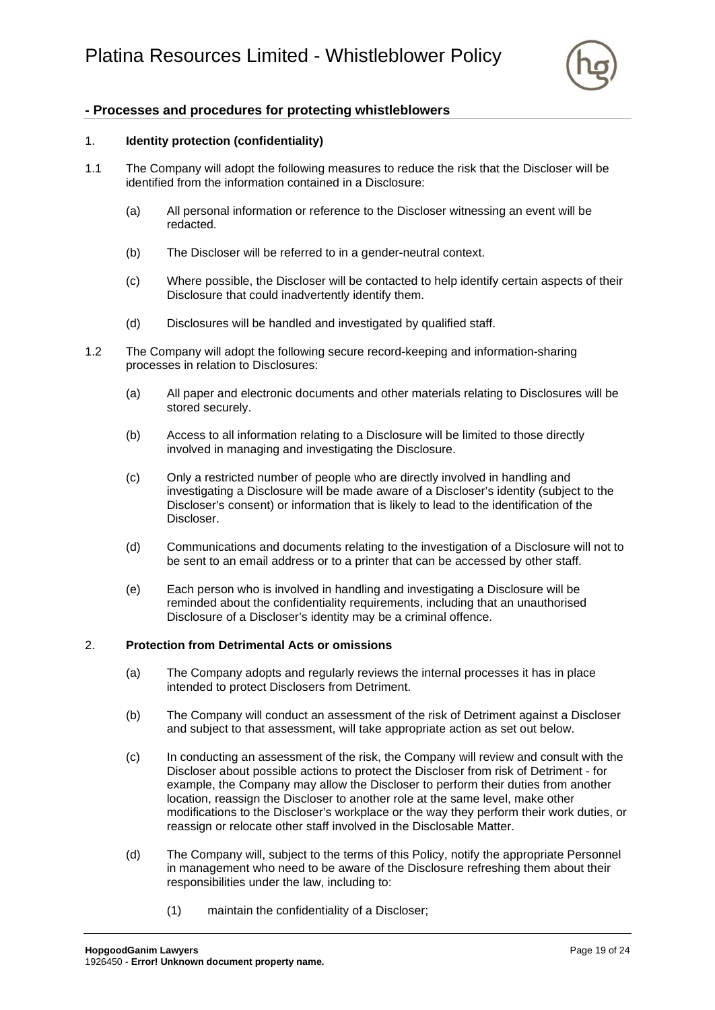

# <span id="page-20-0"></span>**- Processes and procedures for protecting whistleblowers**

#### 1. **Identity protection (confidentiality)**

- 1.1 The Company will adopt the following measures to reduce the risk that the Discloser will be identified from the information contained in a Disclosure:
	- (a) All personal information or reference to the Discloser witnessing an event will be redacted.
	- (b) The Discloser will be referred to in a gender-neutral context.
	- (c) Where possible, the Discloser will be contacted to help identify certain aspects of their Disclosure that could inadvertently identify them.
	- (d) Disclosures will be handled and investigated by qualified staff.
- 1.2 The Company will adopt the following secure record-keeping and information-sharing processes in relation to Disclosures:
	- (a) All paper and electronic documents and other materials relating to Disclosures will be stored securely.
	- (b) Access to all information relating to a Disclosure will be limited to those directly involved in managing and investigating the Disclosure.
	- (c) Only a restricted number of people who are directly involved in handling and investigating a Disclosure will be made aware of a Discloser's identity (subject to the Discloser's consent) or information that is likely to lead to the identification of the Discloser.
	- (d) Communications and documents relating to the investigation of a Disclosure will not to be sent to an email address or to a printer that can be accessed by other staff.
	- (e) Each person who is involved in handling and investigating a Disclosure will be reminded about the confidentiality requirements, including that an unauthorised Disclosure of a Discloser's identity may be a criminal offence.

#### 2. **Protection from Detrimental Acts or omissions**

- (a) The Company adopts and regularly reviews the internal processes it has in place intended to protect Disclosers from Detriment.
- (b) The Company will conduct an assessment of the risk of Detriment against a Discloser and subject to that assessment, will take appropriate action as set out below.
- (c) In conducting an assessment of the risk, the Company will review and consult with the Discloser about possible actions to protect the Discloser from risk of Detriment - for example, the Company may allow the Discloser to perform their duties from another location, reassign the Discloser to another role at the same level, make other modifications to the Discloser's workplace or the way they perform their work duties, or reassign or relocate other staff involved in the Disclosable Matter.
- (d) The Company will, subject to the terms of this Policy, notify the appropriate Personnel in management who need to be aware of the Disclosure refreshing them about their responsibilities under the law, including to:
	- (1) maintain the confidentiality of a Discloser;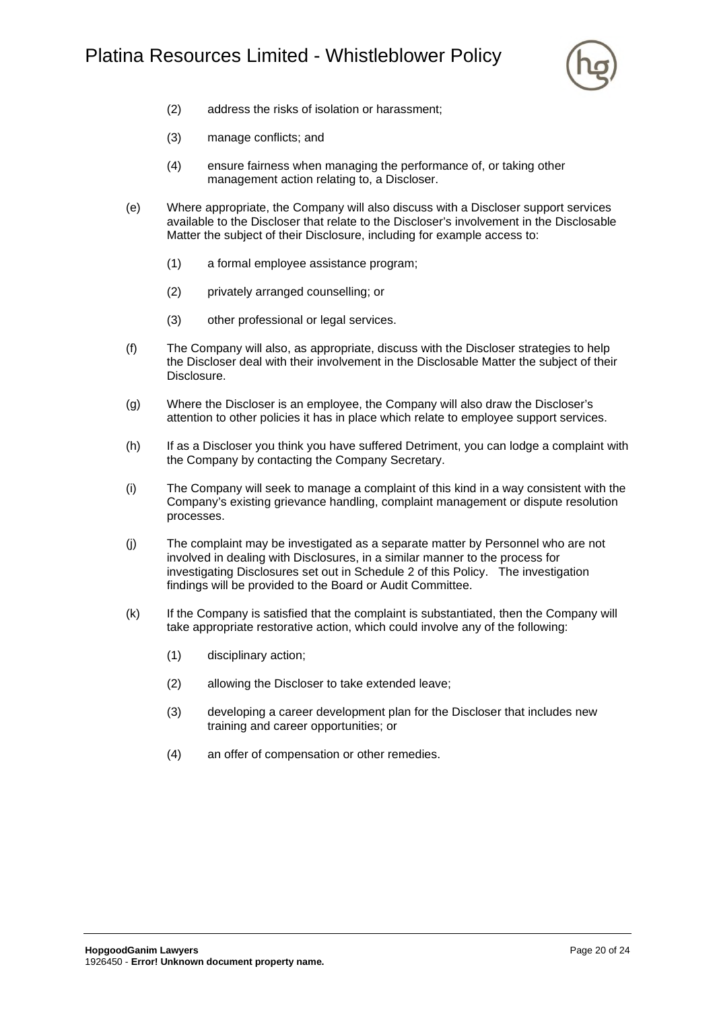

- (2) address the risks of isolation or harassment;
- (3) manage conflicts; and
- (4) ensure fairness when managing the performance of, or taking other management action relating to, a Discloser.
- (e) Where appropriate, the Company will also discuss with a Discloser support services available to the Discloser that relate to the Discloser's involvement in the Disclosable Matter the subject of their Disclosure, including for example access to:
	- (1) a formal employee assistance program;
	- (2) privately arranged counselling; or
	- (3) other professional or legal services.
- (f) The Company will also, as appropriate, discuss with the Discloser strategies to help the Discloser deal with their involvement in the Disclosable Matter the subject of their Disclosure.
- (g) Where the Discloser is an employee, the Company will also draw the Discloser's attention to other policies it has in place which relate to employee support services.
- (h) If as a Discloser you think you have suffered Detriment, you can lodge a complaint with the Company by contacting the Company Secretary.
- (i) The Company will seek to manage a complaint of this kind in a way consistent with the Company's existing grievance handling, complaint management or dispute resolution processes.
- (j) The complaint may be investigated as a separate matter by Personnel who are not involved in dealing with Disclosures, in a similar manner to the process for investigating Disclosures set out in [Schedule 2](#page-21-0) of this Policy. The investigation findings will be provided to the Board or Audit Committee.
- <span id="page-21-0"></span>(k) If the Company is satisfied that the complaint is substantiated, then the Company will take appropriate restorative action, which could involve any of the following:
	- (1) disciplinary action;
	- (2) allowing the Discloser to take extended leave;
	- (3) developing a career development plan for the Discloser that includes new training and career opportunities; or
	- (4) an offer of compensation or other remedies.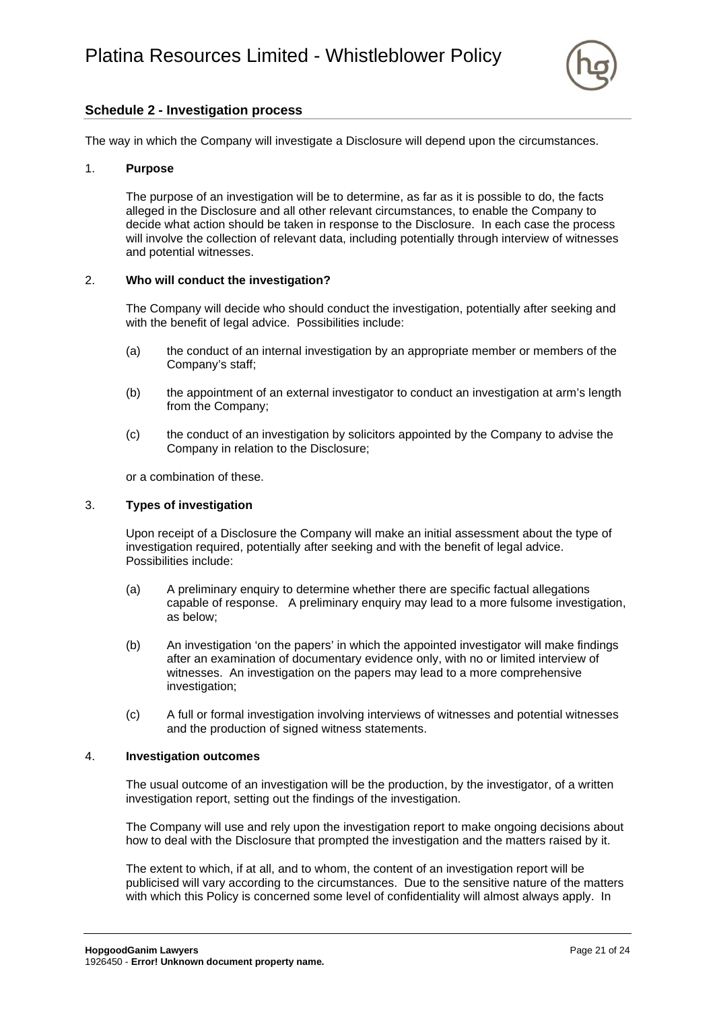

# **Schedule 2 - Investigation process**

The way in which the Company will investigate a Disclosure will depend upon the circumstances.

#### 1. **Purpose**

The purpose of an investigation will be to determine, as far as it is possible to do, the facts alleged in the Disclosure and all other relevant circumstances, to enable the Company to decide what action should be taken in response to the Disclosure. In each case the process will involve the collection of relevant data, including potentially through interview of witnesses and potential witnesses.

#### 2. **Who will conduct the investigation?**

The Company will decide who should conduct the investigation, potentially after seeking and with the benefit of legal advice. Possibilities include:

- (a) the conduct of an internal investigation by an appropriate member or members of the Company's staff;
- (b) the appointment of an external investigator to conduct an investigation at arm's length from the Company;
- (c) the conduct of an investigation by solicitors appointed by the Company to advise the Company in relation to the Disclosure;

or a combination of these.

#### 3. **Types of investigation**

Upon receipt of a Disclosure the Company will make an initial assessment about the type of investigation required, potentially after seeking and with the benefit of legal advice. Possibilities include:

- (a) A preliminary enquiry to determine whether there are specific factual allegations capable of response. A preliminary enquiry may lead to a more fulsome investigation, as below;
- (b) An investigation 'on the papers' in which the appointed investigator will make findings after an examination of documentary evidence only, with no or limited interview of witnesses. An investigation on the papers may lead to a more comprehensive investigation;
- (c) A full or formal investigation involving interviews of witnesses and potential witnesses and the production of signed witness statements.

#### 4. **Investigation outcomes**

The usual outcome of an investigation will be the production, by the investigator, of a written investigation report, setting out the findings of the investigation.

The Company will use and rely upon the investigation report to make ongoing decisions about how to deal with the Disclosure that prompted the investigation and the matters raised by it.

The extent to which, if at all, and to whom, the content of an investigation report will be publicised will vary according to the circumstances. Due to the sensitive nature of the matters with which this Policy is concerned some level of confidentiality will almost always apply. In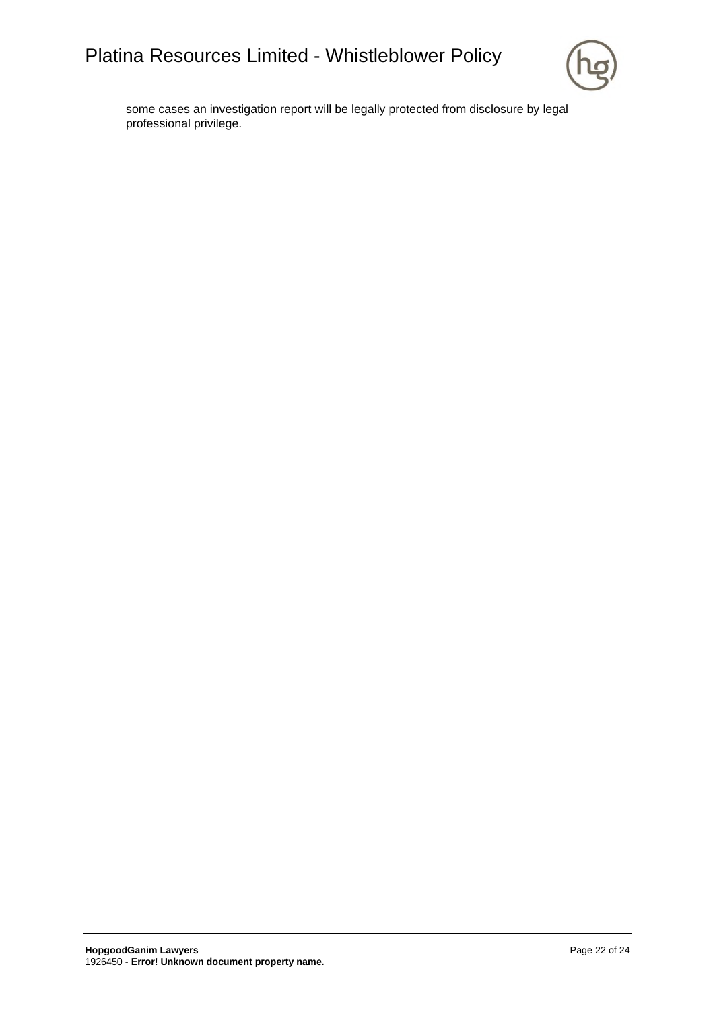

some cases an investigation report will be legally protected from disclosure by legal professional privilege.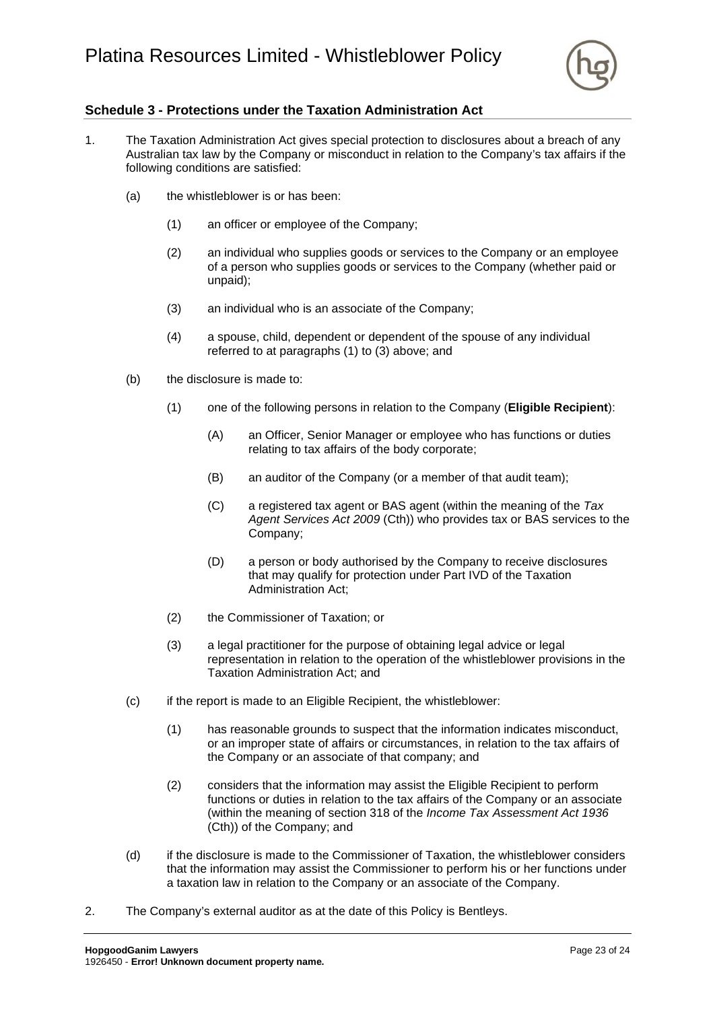

# <span id="page-24-0"></span>**Schedule 3 - Protections under the Taxation Administration Act**

- <span id="page-24-2"></span><span id="page-24-1"></span>1. The Taxation Administration Act gives special protection to disclosures about a breach of any Australian tax law by the Company or misconduct in relation to the Company's tax affairs if the following conditions are satisfied:
	- (a) the whistleblower is or has been:
		- (1) an officer or employee of the Company;
		- (2) an individual who supplies goods or services to the Company or an employee of a person who supplies goods or services to the Company (whether paid or unpaid);
		- (3) an individual who is an associate of the Company;
		- (4) a spouse, child, dependent or dependent of the spouse of any individual referred to at paragraphs [\(1\)](#page-24-1) to [\(3\)](#page-24-2) above; and
	- (b) the disclosure is made to:
		- (1) one of the following persons in relation to the Company (**Eligible Recipient**):
			- (A) an Officer, Senior Manager or employee who has functions or duties relating to tax affairs of the body corporate;
			- (B) an auditor of the Company (or a member of that audit team);
			- (C) a registered tax agent or BAS agent (within the meaning of the *Tax Agent Services Act 2009* (Cth)) who provides tax or BAS services to the Company;
			- (D) a person or body authorised by the Company to receive disclosures that may qualify for protection under Part IVD of the Taxation Administration Act;
		- (2) the Commissioner of Taxation; or
		- (3) a legal practitioner for the purpose of obtaining legal advice or legal representation in relation to the operation of the whistleblower provisions in the Taxation Administration Act; and
	- (c) if the report is made to an Eligible Recipient, the whistleblower:
		- (1) has reasonable grounds to suspect that the information indicates misconduct, or an improper state of affairs or circumstances, in relation to the tax affairs of the Company or an associate of that company; and
		- (2) considers that the information may assist the Eligible Recipient to perform functions or duties in relation to the tax affairs of the Company or an associate (within the meaning of section 318 of the *Income Tax Assessment Act 1936* (Cth)) of the Company; and
	- (d) if the disclosure is made to the Commissioner of Taxation, the whistleblower considers that the information may assist the Commissioner to perform his or her functions under a taxation law in relation to the Company or an associate of the Company.
- 2. The Company's external auditor as at the date of this Policy is Bentleys.